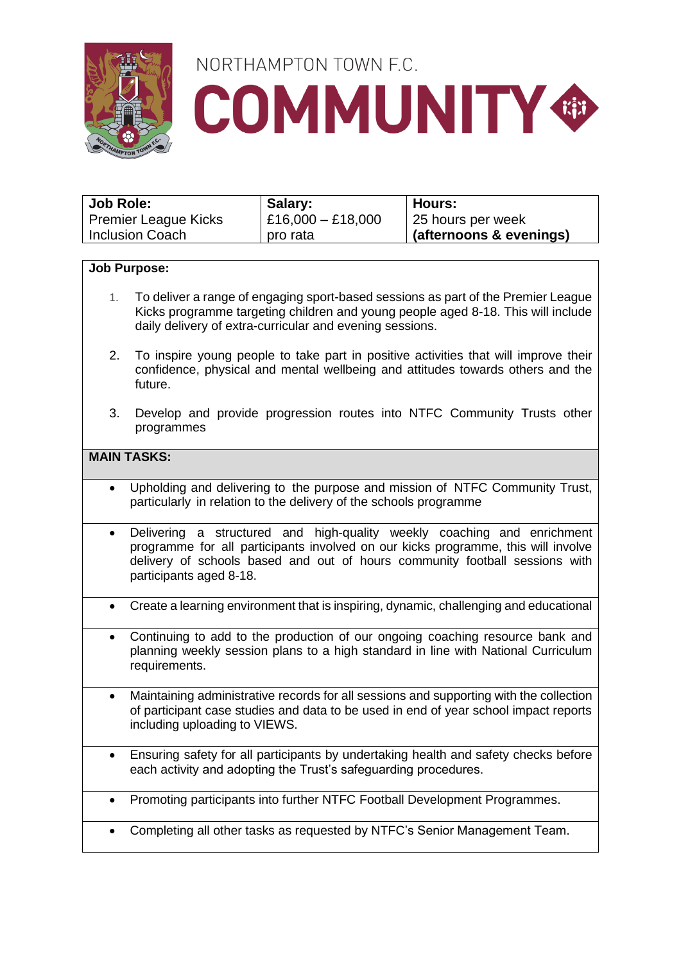

## NORTHAMPTON TOWN F.C. **COMMUNITY ®**

| Job Role:                   | Salary:             | Hours:                  |
|-----------------------------|---------------------|-------------------------|
| <b>Premier League Kicks</b> | $E16,000 - E18,000$ | 25 hours per week       |
| <b>Inclusion Coach</b>      | pro rata            | (afternoons & evenings) |

#### **Job Purpose:**

- 1. To deliver a range of engaging sport-based sessions as part of the Premier League Kicks programme targeting children and young people aged 8-18. This will include daily delivery of extra-curricular and evening sessions.
- 2. To inspire young people to take part in positive activities that will improve their confidence, physical and mental wellbeing and attitudes towards others and the future.
- 3. Develop and provide progression routes into NTFC Community Trusts other programmes

### **MAIN TASKS:**

- Upholding and delivering to the purpose and mission of NTFC Community Trust, particularly in relation to the delivery of the schools programme
- Delivering a structured and high-quality weekly coaching and enrichment programme for all participants involved on our kicks programme, this will involve delivery of schools based and out of hours community football sessions with participants aged 8-18.
- Create a learning environment that is inspiring, dynamic, challenging and educational
- Continuing to add to the production of our ongoing coaching resource bank and planning weekly session plans to a high standard in line with National Curriculum requirements.
- Maintaining administrative records for all sessions and supporting with the collection of participant case studies and data to be used in end of year school impact reports including uploading to VIEWS.
- Ensuring safety for all participants by undertaking health and safety checks before each activity and adopting the Trust's safeguarding procedures.
- Promoting participants into further NTFC Football Development Programmes.
- Completing all other tasks as requested by NTFC's Senior Management Team.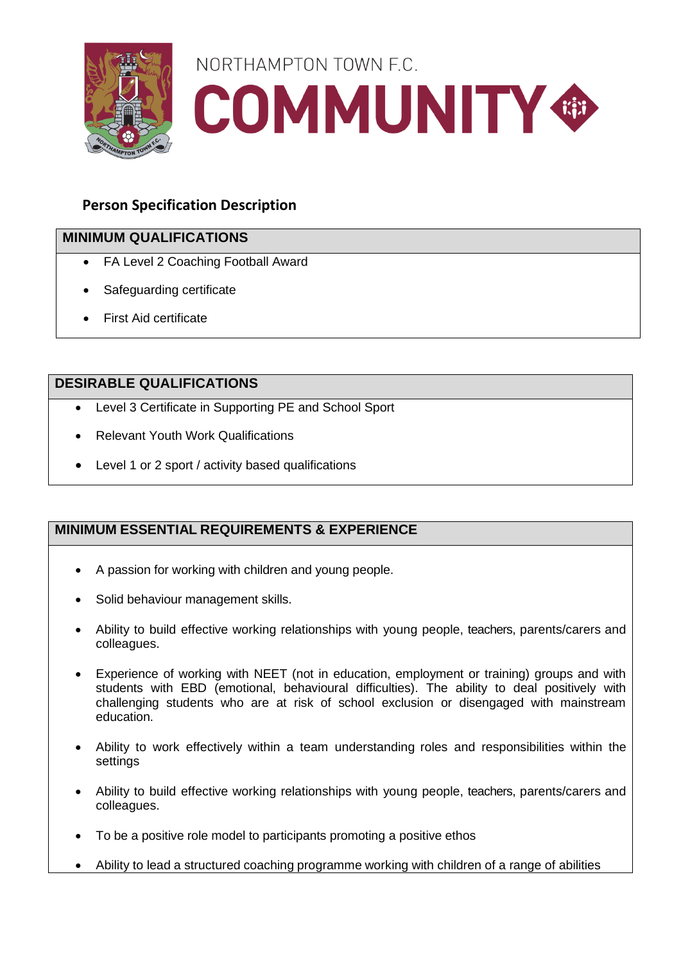

# NORTHAMPTON TOWN F.C. **COMMUNITY GB**

## **Person Specification Description**

## **MINIMUM QUALIFICATIONS**

- FA Level 2 Coaching Football Award
- Safeguarding certificate
- First Aid certificate

### **DESIRABLE QUALIFICATIONS**

- Level 3 Certificate in Supporting PE and School Sport
- Relevant Youth Work Qualifications
- Level 1 or 2 sport / activity based qualifications

## **MINIMUM ESSENTIAL REQUIREMENTS & EXPERIENCE**

- A passion for working with children and young people.
- Solid behaviour management skills.
- Ability to build effective working relationships with young people, teachers, parents/carers and colleagues.
- Experience of working with NEET (not in education, employment or training) groups and with students with EBD (emotional, behavioural difficulties). The ability to deal positively with challenging students who are at risk of school exclusion or disengaged with mainstream education.
- Ability to work effectively within a team understanding roles and responsibilities within the settings
- Ability to build effective working relationships with young people, teachers, parents/carers and colleagues.
- To be a positive role model to participants promoting a positive ethos
- Ability to lead a structured coaching programme working with children of a range of abilities